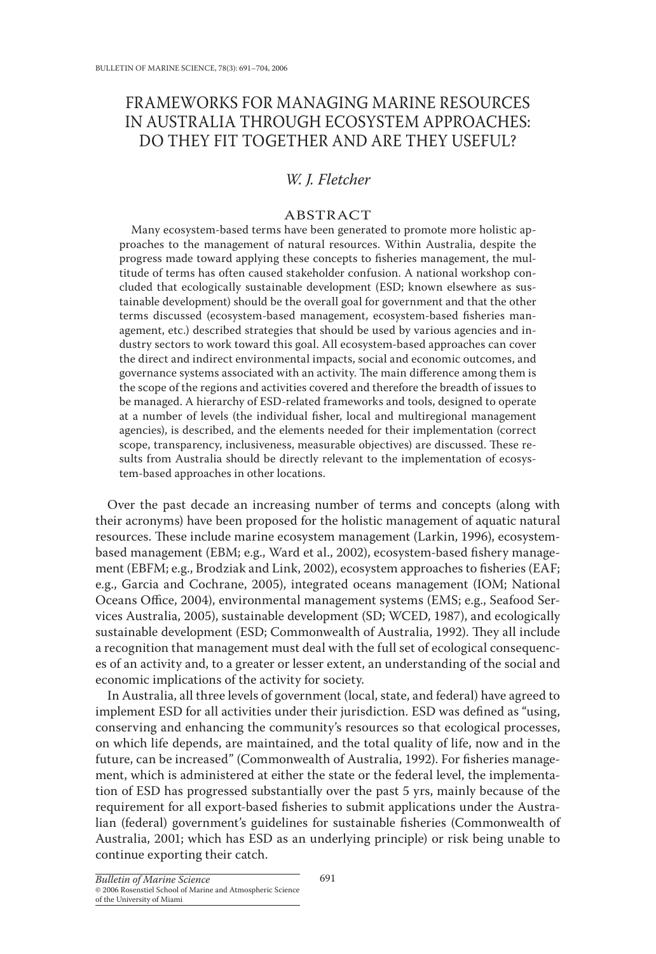# FRAMEWORKS FOR MANAGING MARINE RESOURCES IN AUSTRALIA THROUGH ECOSYSTEM APPROACHES: DO THEY FIT TOGETHER AND ARE THEY USEFUL?

## *W. J. Fletcher*

## ABSTRACT

Many ecosystem-based terms have been generated to promote more holistic approaches to the management of natural resources. Within Australia, despite the progress made toward applying these concepts to fisheries management, the multitude of terms has often caused stakeholder confusion. A national workshop concluded that ecologically sustainable development (ESD; known elsewhere as sustainable development) should be the overall goal for government and that the other terms discussed (ecosystem-based management, ecosystem-based fisheries management, etc.) described strategies that should be used by various agencies and industry sectors to work toward this goal. All ecosystem-based approaches can cover the direct and indirect environmental impacts, social and economic outcomes, and governance systems associated with an activity. The main difference among them is the scope of the regions and activities covered and therefore the breadth of issues to be managed. A hierarchy of ESD-related frameworks and tools, designed to operate at a number of levels (the individual fisher, local and multiregional management agencies), is described, and the elements needed for their implementation (correct scope, transparency, inclusiveness, measurable objectives) are discussed. These results from Australia should be directly relevant to the implementation of ecosystem-based approaches in other locations.

Over the past decade an increasing number of terms and concepts (along with their acronyms) have been proposed for the holistic management of aquatic natural resources. These include marine ecosystem management (Larkin, 1996), ecosystembased management (EBM; e.g., Ward et al., 2002), ecosystem-based fishery management (EBFM; e.g., Brodziak and Link, 2002), ecosystem approaches to fisheries (EAF; e.g., Garcia and Cochrane, 2005), integrated oceans management (IOM; National Oceans Office, 2004), environmental management systems (EMS; e.g., Seafood Services Australia, 2005), sustainable development (SD; WCED, 1987), and ecologically sustainable development (ESD; Commonwealth of Australia, 1992). They all include a recognition that management must deal with the full set of ecological consequences of an activity and, to a greater or lesser extent, an understanding of the social and economic implications of the activity for society.

In Australia, all three levels of government (local, state, and federal) have agreed to implement ESD for all activities under their jurisdiction. ESD was defined as "using, conserving and enhancing the community's resources so that ecological processes, on which life depends, are maintained, and the total quality of life, now and in the future, can be increased" (Commonwealth of Australia, 1992). For fisheries management, which is administered at either the state or the federal level, the implementation of ESD has progressed substantially over the past 5 yrs, mainly because of the requirement for all export-based fisheries to submit applications under the Australian (federal) government's guidelines for sustainable fisheries (Commonwealth of Australia, 2001; which has ESD as an underlying principle) or risk being unable to continue exporting their catch.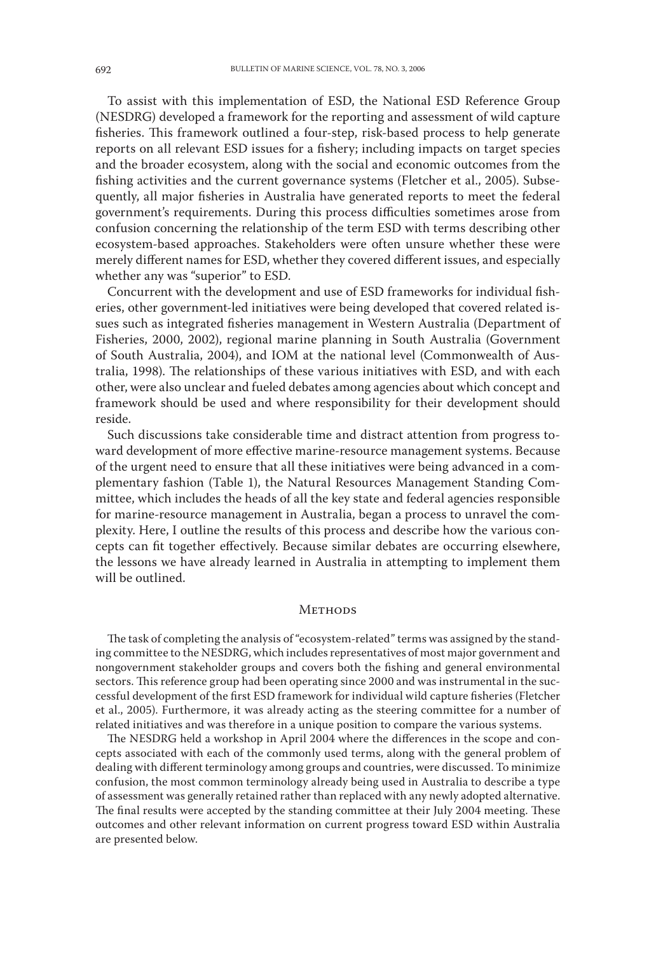To assist with this implementation of ESD, the National ESD Reference Group (NESDRG) developed a framework for the reporting and assessment of wild capture fisheries. This framework outlined a four-step, risk-based process to help generate reports on all relevant ESD issues for a fishery; including impacts on target species and the broader ecosystem, along with the social and economic outcomes from the fishing activities and the current governance systems (Fletcher et al., 2005). Subsequently, all major fisheries in Australia have generated reports to meet the federal government's requirements. During this process difficulties sometimes arose from confusion concerning the relationship of the term ESD with terms describing other ecosystem-based approaches. Stakeholders were often unsure whether these were merely different names for ESD, whether they covered different issues, and especially whether any was "superior" to ESD.

Concurrent with the development and use of ESD frameworks for individual fisheries, other government-led initiatives were being developed that covered related issues such as integrated fisheries management in Western Australia (Department of Fisheries, 2000, 2002), regional marine planning in South Australia (Government of South Australia, 2004), and IOM at the national level (Commonwealth of Australia, 1998). The relationships of these various initiatives with ESD, and with each other, were also unclear and fueled debates among agencies about which concept and framework should be used and where responsibility for their development should reside.

Such discussions take considerable time and distract attention from progress toward development of more effective marine-resource management systems. Because of the urgent need to ensure that all these initiatives were being advanced in a complementary fashion (Table 1), the Natural Resources Management Standing Committee, which includes the heads of all the key state and federal agencies responsible for marine-resource management in Australia, began a process to unravel the complexity. Here, I outline the results of this process and describe how the various concepts can fit together effectively. Because similar debates are occurring elsewhere, the lessons we have already learned in Australia in attempting to implement them will be outlined.

### **METHODS**

The task of completing the analysis of "ecosystem-related" terms was assigned by the standing committee to the NESDRG, which includes representatives of most major government and nongovernment stakeholder groups and covers both the fishing and general environmental sectors. This reference group had been operating since 2000 and was instrumental in the successful development of the first ESD framework for individual wild capture fisheries (Fletcher et al., 2005). Furthermore, it was already acting as the steering committee for a number of related initiatives and was therefore in a unique position to compare the various systems.

The NESDRG held a workshop in April 2004 where the differences in the scope and concepts associated with each of the commonly used terms, along with the general problem of dealing with different terminology among groups and countries, were discussed. To minimize confusion, the most common terminology already being used in Australia to describe a type of assessment was generally retained rather than replaced with any newly adopted alternative. The final results were accepted by the standing committee at their July 2004 meeting. These outcomes and other relevant information on current progress toward ESD within Australia are presented below.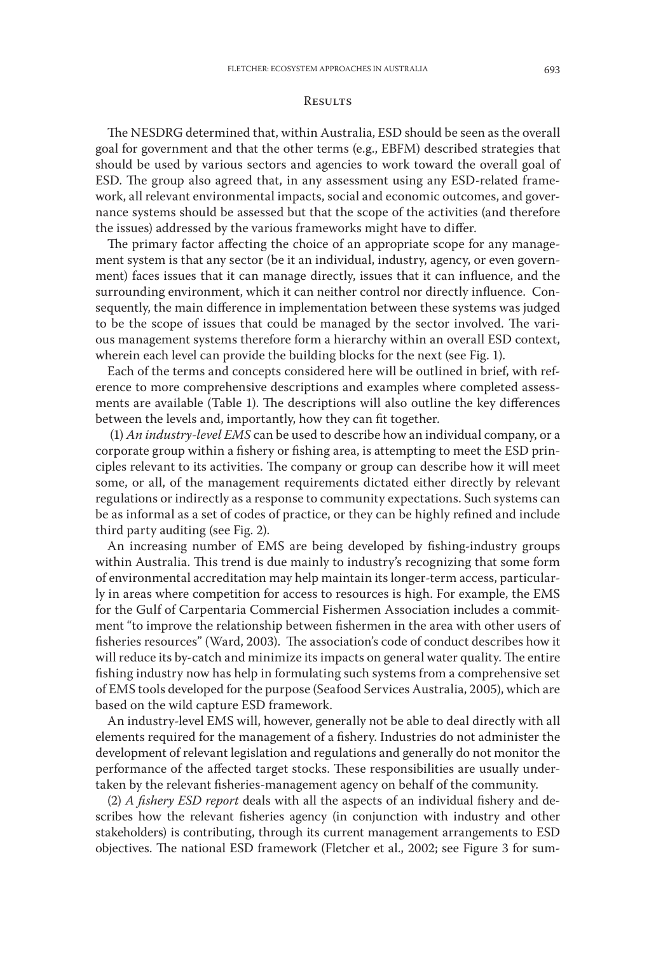#### **RESULTS**

The NESDRG determined that, within Australia, ESD should be seen as the overall goal for government and that the other terms (e.g., EBFM) described strategies that should be used by various sectors and agencies to work toward the overall goal of ESD. The group also agreed that, in any assessment using any ESD-related framework, all relevant environmental impacts, social and economic outcomes, and governance systems should be assessed but that the scope of the activities (and therefore the issues) addressed by the various frameworks might have to differ.

The primary factor affecting the choice of an appropriate scope for any management system is that any sector (be it an individual, industry, agency, or even government) faces issues that it can manage directly, issues that it can influence, and the surrounding environment, which it can neither control nor directly influence. Consequently, the main difference in implementation between these systems was judged to be the scope of issues that could be managed by the sector involved. The various management systems therefore form a hierarchy within an overall ESD context, wherein each level can provide the building blocks for the next (see Fig. 1).

Each of the terms and concepts considered here will be outlined in brief, with reference to more comprehensive descriptions and examples where completed assessments are available (Table 1). The descriptions will also outline the key differences between the levels and, importantly, how they can fit together.

 (1) *An industry-level EMS* can be used to describe how an individual company, or a corporate group within a fishery or fishing area, is attempting to meet the ESD principles relevant to its activities. The company or group can describe how it will meet some, or all, of the management requirements dictated either directly by relevant regulations or indirectly as a response to community expectations. Such systems can be as informal as a set of codes of practice, or they can be highly refined and include third party auditing (see Fig. 2).

An increasing number of EMS are being developed by fishing-industry groups within Australia. This trend is due mainly to industry's recognizing that some form of environmental accreditation may help maintain its longer-term access, particularly in areas where competition for access to resources is high. For example, the EMS for the Gulf of Carpentaria Commercial Fishermen Association includes a commitment "to improve the relationship between fishermen in the area with other users of fisheries resources" (Ward, 2003). The association's code of conduct describes how it will reduce its by-catch and minimize its impacts on general water quality. The entire fishing industry now has help in formulating such systems from a comprehensive set of EMS tools developed for the purpose (Seafood Services Australia, 2005), which are based on the wild capture ESD framework.

An industry-level EMS will, however, generally not be able to deal directly with all elements required for the management of a fishery. Industries do not administer the development of relevant legislation and regulations and generally do not monitor the performance of the affected target stocks. These responsibilities are usually undertaken by the relevant fisheries-management agency on behalf of the community.

(2) *A fishery ESD report* deals with all the aspects of an individual fishery and describes how the relevant fisheries agency (in conjunction with industry and other stakeholders) is contributing, through its current management arrangements to ESD objectives. The national ESD framework (Fletcher et al., 2002; see Figure 3 for sum-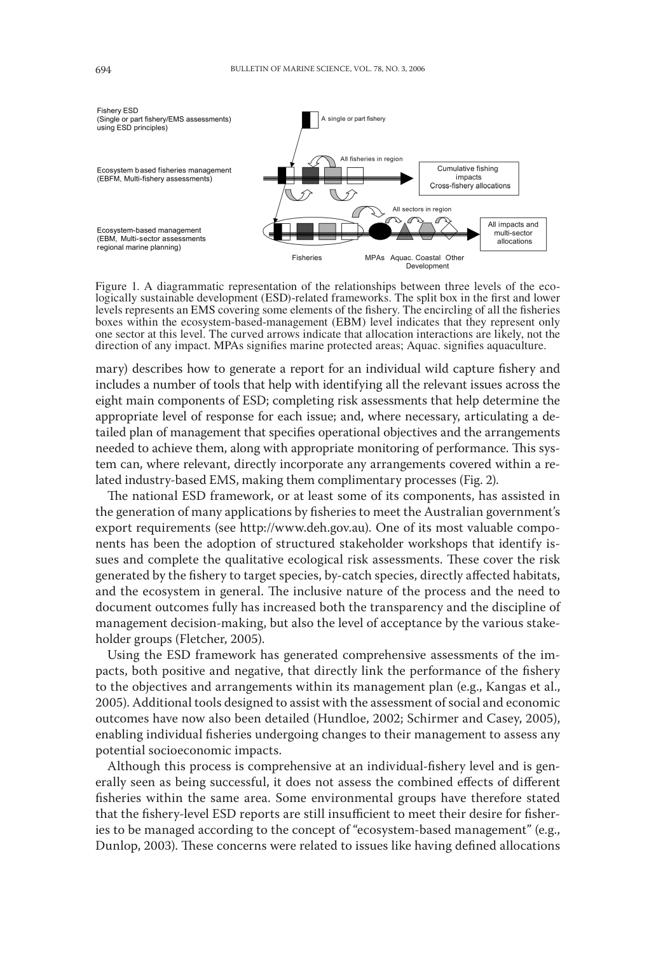

Figure 1. A diagrammatic representation of the relationships between three levels of the eco-<br>logically sustainable development (ESD)-related frameworks. The split box in the first and lower levels represents an EMS covering some elements of the fishery. The encircling of all the fisheries boxes within the ecosystem-based-management (EBM) level indicates that they represent only one sector at this level. The curved arrows indicate that allocation interactions are likely, not the direction of any impact. MPAs signifies marine protected areas; Aquac. signifies aquaculture.

mary) describes how to generate a report for an individual wild capture fishery and includes a number of tools that help with identifying all the relevant issues across the eight main components of ESD; completing risk assessments that help determine the appropriate level of response for each issue; and, where necessary, articulating a detailed plan of management that specifies operational objectives and the arrangements needed to achieve them, along with appropriate monitoring of performance. This system can, where relevant, directly incorporate any arrangements covered within a related industry-based EMS, making them complimentary processes (Fig. 2).

The national ESD framework, or at least some of its components, has assisted in the generation of many applications by fisheries to meet the Australian government's export requirements (see http://www.deh.gov.au). One of its most valuable components has been the adoption of structured stakeholder workshops that identify issues and complete the qualitative ecological risk assessments. These cover the risk generated by the fishery to target species, by-catch species, directly affected habitats, and the ecosystem in general. The inclusive nature of the process and the need to document outcomes fully has increased both the transparency and the discipline of management decision-making, but also the level of acceptance by the various stakeholder groups (Fletcher, 2005).

Using the ESD framework has generated comprehensive assessments of the impacts, both positive and negative, that directly link the performance of the fishery to the objectives and arrangements within its management plan (e.g., Kangas et al., 2005). Additional tools designed to assist with the assessment of social and economic outcomes have now also been detailed (Hundloe, 2002; Schirmer and Casey, 2005), enabling individual fisheries undergoing changes to their management to assess any potential socioeconomic impacts.

Although this process is comprehensive at an individual-fishery level and is generally seen as being successful, it does not assess the combined effects of different fisheries within the same area. Some environmental groups have therefore stated that the fishery-level ESD reports are still insufficient to meet their desire for fisheries to be managed according to the concept of "ecosystem-based management" (e.g., Dunlop, 2003). These concerns were related to issues like having defined allocations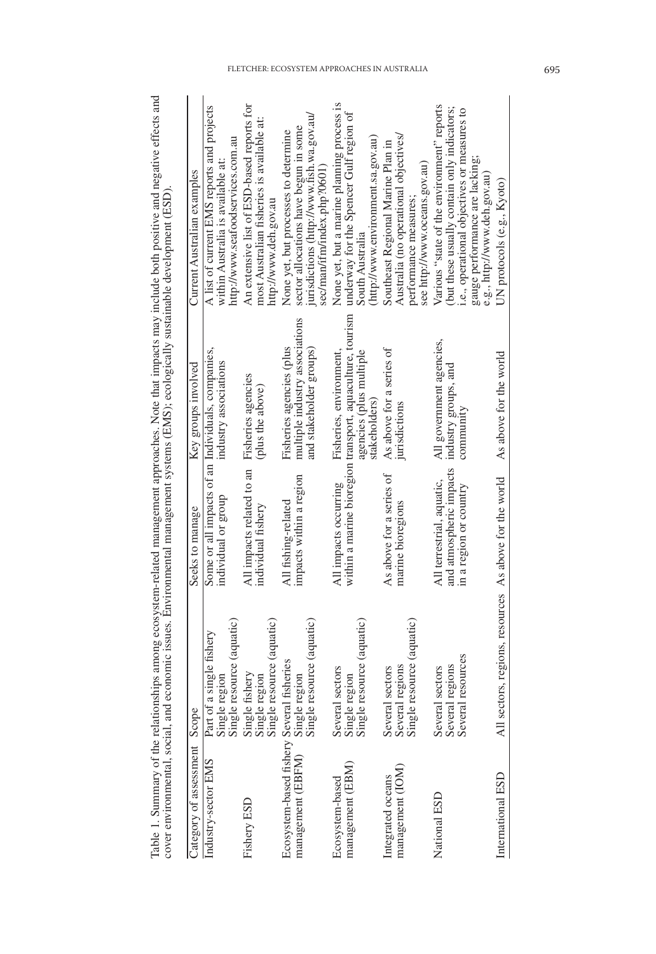| Category of assessment Scope                                   |                                                                 | Seeks to manage                                                                | Key groups involved                                                                                                             | Current Australian examples                                                                                                                                                                               |
|----------------------------------------------------------------|-----------------------------------------------------------------|--------------------------------------------------------------------------------|---------------------------------------------------------------------------------------------------------------------------------|-----------------------------------------------------------------------------------------------------------------------------------------------------------------------------------------------------------|
| Industry-sector EMS                                            | Part of a single fishery                                        | Some or all impacts of an Individuals, companies,                              |                                                                                                                                 | A list of current EMS reports and projects                                                                                                                                                                |
|                                                                | Single resource (aquatic)<br>Single regior                      | individual or group                                                            | industry associations                                                                                                           | http://www.seafoodservices.com.au<br>within Australia is available at:                                                                                                                                    |
| Fishery ESD                                                    | Single fishery<br>Single region<br>Single resource (aquatic)    | All impacts related to an<br>individual fishery                                | Fisheries agencies<br>(plus the above)                                                                                          | An extensive list of ESD-based reports for<br>most Australian fisheries is available at:<br>http://www.deh.gov.au                                                                                         |
| Ecosystem-based fishery Several fisheries<br>management (EBFM) | Single region<br>Single resource (aquatic)                      | impacts within a region<br>All fishing-related                                 | multiple industry associations<br>Fisheries agencies (plus<br>and stakeholder groups)                                           | jurisdictions (http://www.fish.wa.gov.au/<br>sector allocations have begun in some<br>None yet, but processes to determine<br>sec/man/ifm/index.php?0601                                                  |
| management (EBM)<br>Ecosystem-based                            | Single resource (aquatic)<br>Several sectors<br>Single region   | All impacts occurring                                                          | within a marine bioregion transport, aquaculture, tourism<br>Fisheries, environment,<br>agencies (plus multiple<br>stakeholders | None yet, but a marine planning process is<br>underway for the Spencer Gulf region of<br>(http://www.environment.sa.gov.au)<br>South Australia                                                            |
| management (IOM)<br>Integrated oceans                          | Single resource (aquatic)<br>Several regions<br>Several sectors | As above for a series of<br>marine bioregions                                  | As above for a series of<br>jurisdictions                                                                                       | Australia (no operational objectives/<br>Southeast Regional Marine Plan in<br>see http://www.oceans.gov.au)<br>performance measures:                                                                      |
| National ESD                                                   | Several resources<br>Several regions<br>Several sectors         | and atmospheric impacts<br>All terrestrial, aquatic,<br>in a region or country | All government agencies,<br>industry groups, and<br>community                                                                   | Various "state of the environment" reports<br>(but these usually contain only indicators;<br>i.e., operational objectives or measures to<br>gauge performance are lacking;<br>e.g., http://www.deh.gov.au |
| International ESD                                              | All sectors, regions, resources As above for the world          |                                                                                | As above for the world                                                                                                          | UN protocols (e.g., Kyoto)                                                                                                                                                                                |

Table 1. Summary of the relationships among ecosystem-related management approaches. Note that impacts may include both positive and negative effects and cover environmental social and controller and according to the contr Table 1. Summary of the relationships among ecosystem-related management approaches. Note that impacts may include both positive and negative effects and cover environmental, social, and economic issues. Environmental management systems (EMS); ecologically sustainable development (ESD).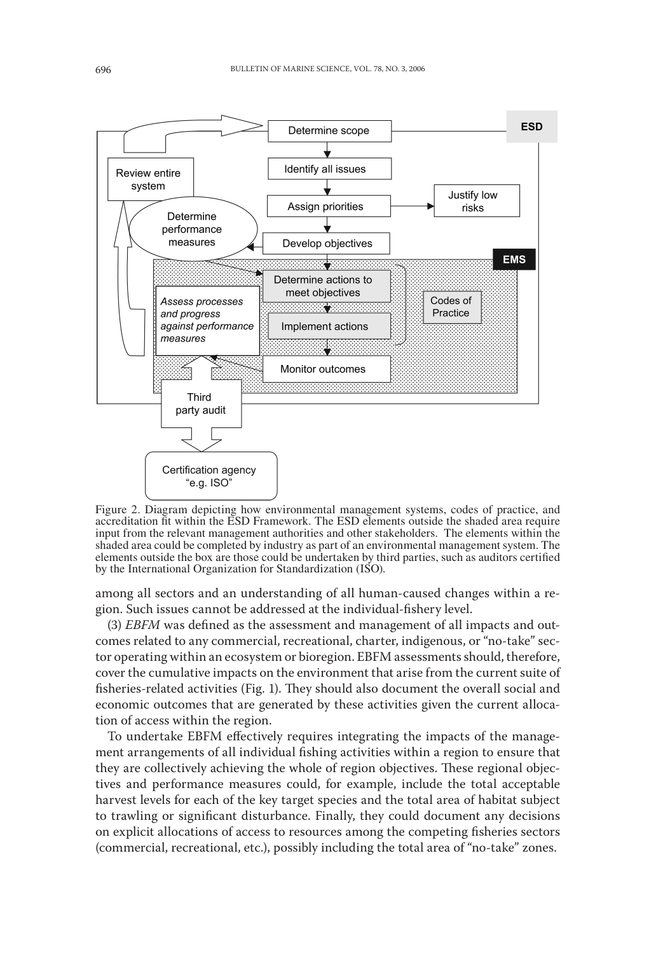

Figure 2. Diagram depicting how environmental management systems, codes of practice, and accreditation fit within the ESD Framework. The ESD elements outside the shaded area require input from the relevant management authorities and other stakeholders. The elements within the shaded area could be completed by industry as part of an environmental management system. The elements outside the box are those could be undertaken by third parties, such as auditors certified by the International Organization for Standardization (ISO).

among all sectors and an understanding of all human-caused changes within a region. Such issues cannot be addressed at the individual-fishery level.

(3) *EBFM* was defined as the assessment and management of all impacts and outcomes related to any commercial, recreational, charter, indigenous, or "no-take" sector operating within an ecosystem or bioregion. EBFM assessments should, therefore, cover the cumulative impacts on the environment that arise from the current suite of fisheries-related activities (Fig. 1). They should also document the overall social and economic outcomes that are generated by these activities given the current allocation of access within the region.

To undertake EBFM effectively requires integrating the impacts of the management arrangements of all individual fishing activities within a region to ensure that they are collectively achieving the whole of region objectives. These regional objectives and performance measures could, for example, include the total acceptable harvest levels for each of the key target species and the total area of habitat subject to trawling or significant disturbance. Finally, they could document any decisions on explicit allocations of access to resources among the competing fisheries sectors (commercial, recreational, etc.), possibly including the total area of "no-take" zones.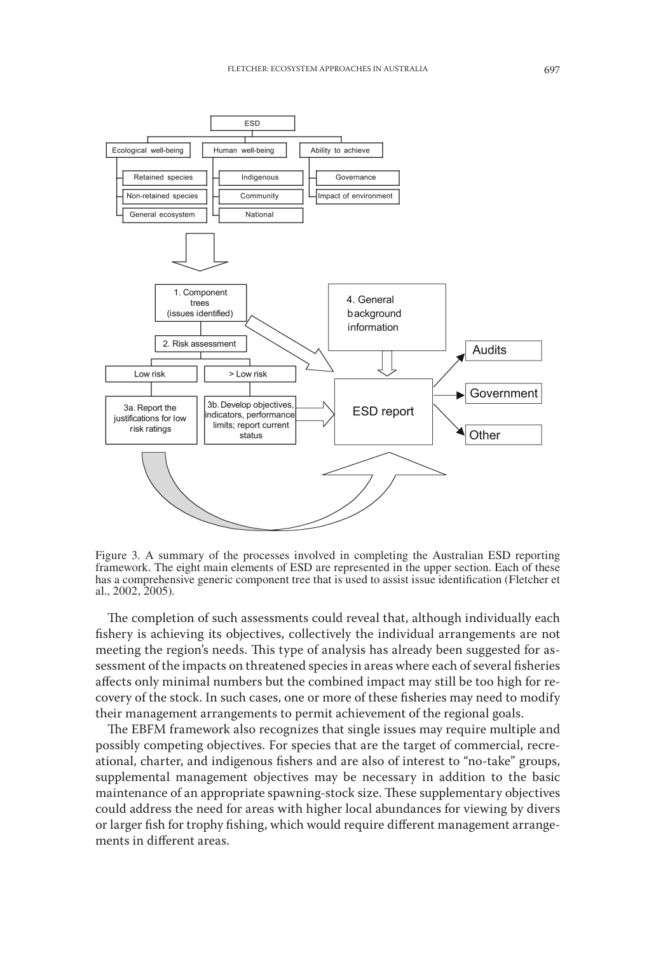

Figure 3. A summary of the processes involved in completing the Australian ESD reporting framework. The eight main elements of ESD are represented in the upper section. Each of these has a comprehensive generic component tree that is used to assist issue identification (Fletcher et al., 2002, 2005).

The completion of such assessments could reveal that, although individually each fishery is achieving its objectives, collectively the individual arrangements are not meeting the region's needs. This type of analysis has already been suggested for assessment of the impacts on threatened species in areas where each of several fisheries affects only minimal numbers but the combined impact may still be too high for recovery of the stock. In such cases, one or more of these fisheries may need to modify their management arrangements to permit achievement of the regional goals.

The EBFM framework also recognizes that single issues may require multiple and possibly competing objectives. For species that are the target of commercial, recreational, charter, and indigenous fishers and are also of interest to "no-take" groups, supplemental management objectives may be necessary in addition to the basic maintenance of an appropriate spawning-stock size. These supplementary objectives could address the need for areas with higher local abundances for viewing by divers or larger fish for trophy fishing, which would require different management arrangements in different areas.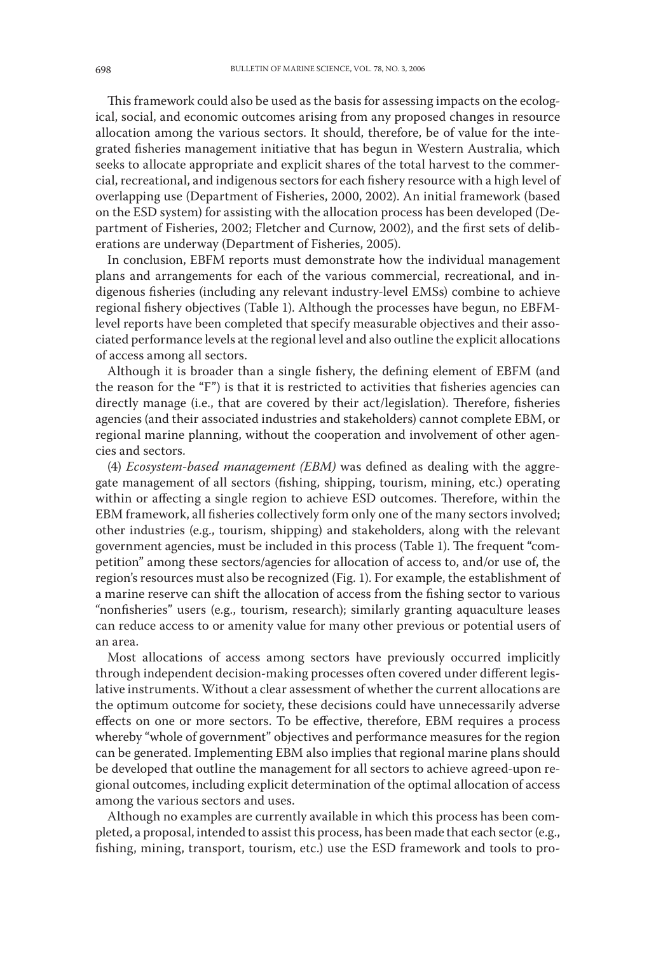This framework could also be used as the basis for assessing impacts on the ecological, social, and economic outcomes arising from any proposed changes in resource allocation among the various sectors. It should, therefore, be of value for the integrated fisheries management initiative that has begun in Western Australia, which seeks to allocate appropriate and explicit shares of the total harvest to the commercial, recreational, and indigenous sectors for each fishery resource with a high level of overlapping use (Department of Fisheries, 2000, 2002). An initial framework (based on the ESD system) for assisting with the allocation process has been developed (Department of Fisheries, 2002; Fletcher and Curnow, 2002), and the first sets of deliberations are underway (Department of Fisheries, 2005).

In conclusion, EBFM reports must demonstrate how the individual management plans and arrangements for each of the various commercial, recreational, and indigenous fisheries (including any relevant industry-level EMSs) combine to achieve regional fishery objectives (Table 1). Although the processes have begun, no EBFMlevel reports have been completed that specify measurable objectives and their associated performance levels at the regional level and also outline the explicit allocations of access among all sectors.

Although it is broader than a single fishery, the defining element of EBFM (and the reason for the "F") is that it is restricted to activities that fisheries agencies can directly manage (i.e., that are covered by their act/legislation). Therefore, fisheries agencies (and their associated industries and stakeholders) cannot complete EBM, or regional marine planning, without the cooperation and involvement of other agencies and sectors.

(4) *Ecosystem-based management (EBM)* was defined as dealing with the aggregate management of all sectors (fishing, shipping, tourism, mining, etc.) operating within or affecting a single region to achieve ESD outcomes. Therefore, within the EBM framework, all fisheries collectively form only one of the many sectors involved; other industries (e.g., tourism, shipping) and stakeholders, along with the relevant government agencies, must be included in this process (Table 1). The frequent "competition" among these sectors/agencies for allocation of access to, and/or use of, the region's resources must also be recognized (Fig. 1). For example, the establishment of a marine reserve can shift the allocation of access from the fishing sector to various "nonfisheries" users (e.g., tourism, research); similarly granting aquaculture leases can reduce access to or amenity value for many other previous or potential users of an area.

Most allocations of access among sectors have previously occurred implicitly through independent decision-making processes often covered under different legislative instruments. Without a clear assessment of whether the current allocations are the optimum outcome for society, these decisions could have unnecessarily adverse effects on one or more sectors. To be effective, therefore, EBM requires a process whereby "whole of government" objectives and performance measures for the region can be generated. Implementing EBM also implies that regional marine plans should be developed that outline the management for all sectors to achieve agreed-upon regional outcomes, including explicit determination of the optimal allocation of access among the various sectors and uses.

Although no examples are currently available in which this process has been completed, a proposal, intended to assist this process, has been made that each sector (e.g., fishing, mining, transport, tourism, etc.) use the ESD framework and tools to pro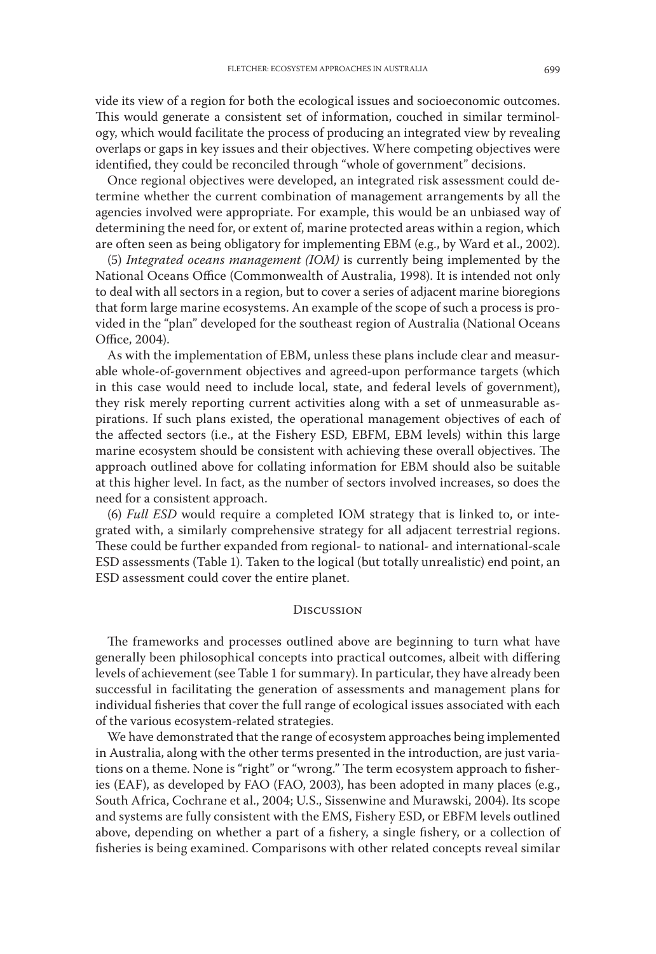vide its view of a region for both the ecological issues and socioeconomic outcomes. This would generate a consistent set of information, couched in similar terminology, which would facilitate the process of producing an integrated view by revealing overlaps or gaps in key issues and their objectives. Where competing objectives were identified, they could be reconciled through "whole of government" decisions.

Once regional objectives were developed, an integrated risk assessment could determine whether the current combination of management arrangements by all the agencies involved were appropriate. For example, this would be an unbiased way of determining the need for, or extent of, marine protected areas within a region, which are often seen as being obligatory for implementing EBM (e.g., by Ward et al., 2002).

(5) *Integrated oceans management (IOM)* is currently being implemented by the National Oceans Office (Commonwealth of Australia, 1998). It is intended not only to deal with all sectors in a region, but to cover a series of adjacent marine bioregions that form large marine ecosystems. An example of the scope of such a process is provided in the "plan" developed for the southeast region of Australia (National Oceans Office, 2004).

As with the implementation of EBM, unless these plans include clear and measurable whole-of-government objectives and agreed-upon performance targets (which in this case would need to include local, state, and federal levels of government), they risk merely reporting current activities along with a set of unmeasurable aspirations. If such plans existed, the operational management objectives of each of the affected sectors (i.e., at the Fishery ESD, EBFM, EBM levels) within this large marine ecosystem should be consistent with achieving these overall objectives. The approach outlined above for collating information for EBM should also be suitable at this higher level. In fact, as the number of sectors involved increases, so does the need for a consistent approach.

(6) *Full ESD* would require a completed IOM strategy that is linked to, or integrated with, a similarly comprehensive strategy for all adjacent terrestrial regions. These could be further expanded from regional- to national- and international-scale ESD assessments (Table 1). Taken to the logical (but totally unrealistic) end point, an ESD assessment could cover the entire planet.

## **DISCUSSION**

The frameworks and processes outlined above are beginning to turn what have generally been philosophical concepts into practical outcomes, albeit with differing levels of achievement (see Table 1 for summary). In particular, they have already been successful in facilitating the generation of assessments and management plans for individual fisheries that cover the full range of ecological issues associated with each of the various ecosystem-related strategies.

We have demonstrated that the range of ecosystem approaches being implemented in Australia, along with the other terms presented in the introduction, are just variations on a theme. None is "right" or "wrong." The term ecosystem approach to fisheries (EAF), as developed by FAO (FAO, 2003), has been adopted in many places (e.g., South Africa, Cochrane et al., 2004; U.S., Sissenwine and Murawski, 2004). Its scope and systems are fully consistent with the EMS, Fishery ESD, or EBFM levels outlined above, depending on whether a part of a fishery, a single fishery, or a collection of fisheries is being examined. Comparisons with other related concepts reveal similar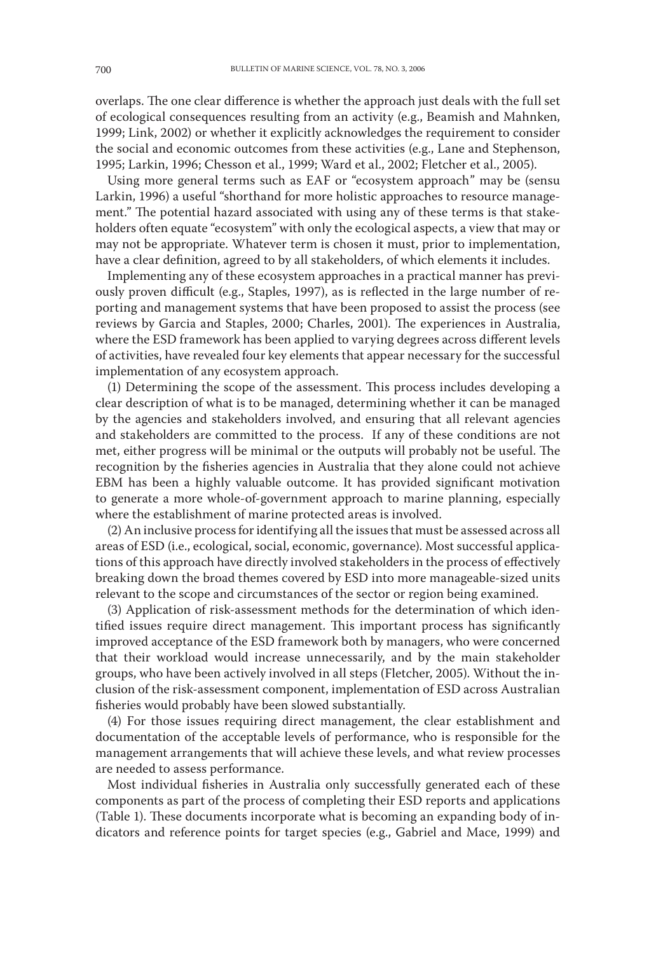overlaps. The one clear difference is whether the approach just deals with the full set of ecological consequences resulting from an activity (e.g., Beamish and Mahnken, 1999; Link, 2002) or whether it explicitly acknowledges the requirement to consider the social and economic outcomes from these activities (e.g., Lane and Stephenson, 1995; Larkin, 1996; Chesson et al., 1999; Ward et al., 2002; Fletcher et al., 2005).

Using more general terms such as EAF or "ecosystem approach" may be (sensu Larkin, 1996) a useful "shorthand for more holistic approaches to resource management." The potential hazard associated with using any of these terms is that stakeholders often equate "ecosystem" with only the ecological aspects, a view that may or may not be appropriate. Whatever term is chosen it must, prior to implementation, have a clear definition, agreed to by all stakeholders, of which elements it includes.

Implementing any of these ecosystem approaches in a practical manner has previously proven difficult (e.g., Staples, 1997), as is reflected in the large number of reporting and management systems that have been proposed to assist the process (see reviews by Garcia and Staples, 2000; Charles, 2001). The experiences in Australia, where the ESD framework has been applied to varying degrees across different levels of activities, have revealed four key elements that appear necessary for the successful implementation of any ecosystem approach.

(1) Determining the scope of the assessment. This process includes developing a clear description of what is to be managed, determining whether it can be managed by the agencies and stakeholders involved, and ensuring that all relevant agencies and stakeholders are committed to the process. If any of these conditions are not met, either progress will be minimal or the outputs will probably not be useful. The recognition by the fisheries agencies in Australia that they alone could not achieve EBM has been a highly valuable outcome. It has provided significant motivation to generate a more whole-of-government approach to marine planning, especially where the establishment of marine protected areas is involved.

(2) An inclusive process for identifying all the issues that must be assessed across all areas of ESD (i.e., ecological, social, economic, governance). Most successful applications of this approach have directly involved stakeholders in the process of effectively breaking down the broad themes covered by ESD into more manageable-sized units relevant to the scope and circumstances of the sector or region being examined.

(3) Application of risk-assessment methods for the determination of which identified issues require direct management. This important process has significantly improved acceptance of the ESD framework both by managers, who were concerned that their workload would increase unnecessarily, and by the main stakeholder groups, who have been actively involved in all steps (Fletcher, 2005). Without the inclusion of the risk-assessment component, implementation of ESD across Australian fisheries would probably have been slowed substantially.

(4) For those issues requiring direct management, the clear establishment and documentation of the acceptable levels of performance, who is responsible for the management arrangements that will achieve these levels, and what review processes are needed to assess performance.

Most individual fisheries in Australia only successfully generated each of these components as part of the process of completing their ESD reports and applications (Table 1). These documents incorporate what is becoming an expanding body of indicators and reference points for target species (e.g., Gabriel and Mace, 1999) and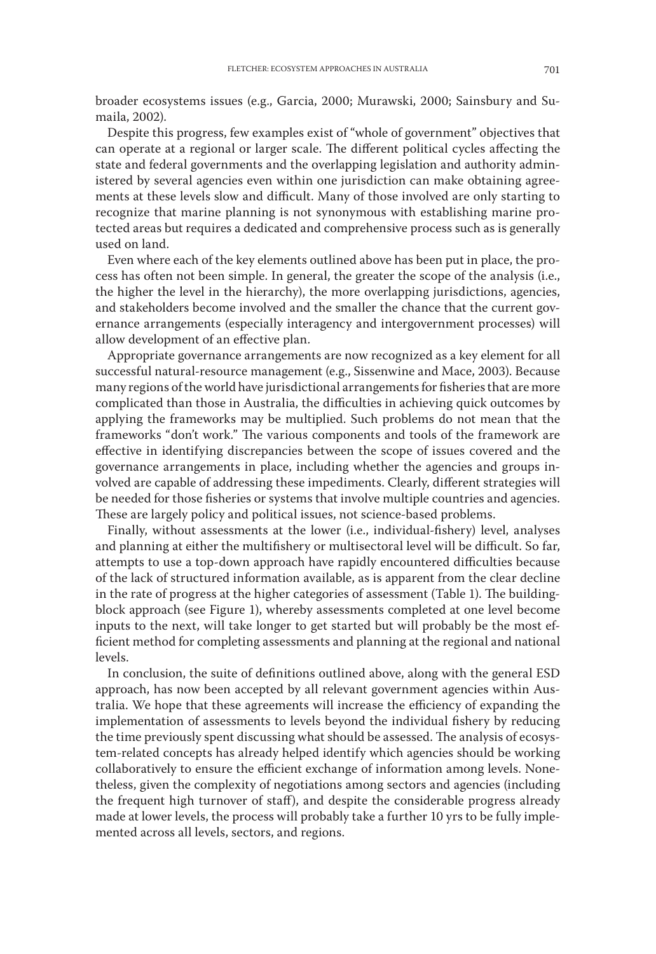broader ecosystems issues (e.g., Garcia, 2000; Murawski, 2000; Sainsbury and Sumaila, 2002).

Despite this progress, few examples exist of "whole of government" objectives that can operate at a regional or larger scale. The different political cycles affecting the state and federal governments and the overlapping legislation and authority administered by several agencies even within one jurisdiction can make obtaining agreements at these levels slow and difficult. Many of those involved are only starting to recognize that marine planning is not synonymous with establishing marine protected areas but requires a dedicated and comprehensive process such as is generally used on land.

Even where each of the key elements outlined above has been put in place, the process has often not been simple. In general, the greater the scope of the analysis (i.e., the higher the level in the hierarchy), the more overlapping jurisdictions, agencies, and stakeholders become involved and the smaller the chance that the current governance arrangements (especially interagency and intergovernment processes) will allow development of an effective plan.

Appropriate governance arrangements are now recognized as a key element for all successful natural-resource management (e.g., Sissenwine and Mace, 2003). Because many regions of the world have jurisdictional arrangements for fisheries that are more complicated than those in Australia, the difficulties in achieving quick outcomes by applying the frameworks may be multiplied. Such problems do not mean that the frameworks "don't work." The various components and tools of the framework are effective in identifying discrepancies between the scope of issues covered and the governance arrangements in place, including whether the agencies and groups involved are capable of addressing these impediments. Clearly, different strategies will be needed for those fisheries or systems that involve multiple countries and agencies. These are largely policy and political issues, not science-based problems.

Finally, without assessments at the lower (i.e., individual-fishery) level, analyses and planning at either the multifishery or multisectoral level will be difficult. So far, attempts to use a top-down approach have rapidly encountered difficulties because of the lack of structured information available, as is apparent from the clear decline in the rate of progress at the higher categories of assessment (Table 1). The buildingblock approach (see Figure 1), whereby assessments completed at one level become inputs to the next, will take longer to get started but will probably be the most efficient method for completing assessments and planning at the regional and national levels.

In conclusion, the suite of definitions outlined above, along with the general ESD approach, has now been accepted by all relevant government agencies within Australia. We hope that these agreements will increase the efficiency of expanding the implementation of assessments to levels beyond the individual fishery by reducing the time previously spent discussing what should be assessed. The analysis of ecosystem-related concepts has already helped identify which agencies should be working collaboratively to ensure the efficient exchange of information among levels. Nonetheless, given the complexity of negotiations among sectors and agencies (including the frequent high turnover of staff), and despite the considerable progress already made at lower levels, the process will probably take a further 10 yrs to be fully implemented across all levels, sectors, and regions.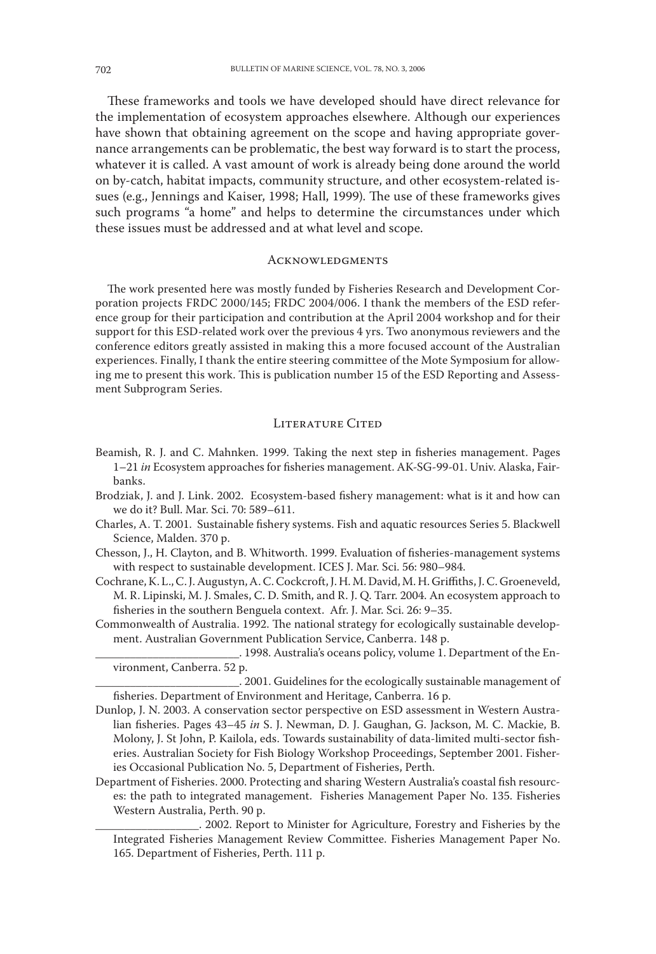These frameworks and tools we have developed should have direct relevance for the implementation of ecosystem approaches elsewhere. Although our experiences have shown that obtaining agreement on the scope and having appropriate governance arrangements can be problematic, the best way forward is to start the process, whatever it is called. A vast amount of work is already being done around the world on by-catch, habitat impacts, community structure, and other ecosystem-related issues (e.g., Jennings and Kaiser, 1998; Hall, 1999). The use of these frameworks gives such programs "a home" and helps to determine the circumstances under which these issues must be addressed and at what level and scope.

### **ACKNOWLEDGMENTS**

The work presented here was mostly funded by Fisheries Research and Development Corporation projects FRDC 2000/145; FRDC 2004/006. I thank the members of the ESD reference group for their participation and contribution at the April 2004 workshop and for their support for this ESD-related work over the previous 4 yrs. Two anonymous reviewers and the conference editors greatly assisted in making this a more focused account of the Australian experiences. Finally, I thank the entire steering committee of the Mote Symposium for allowing me to present this work. This is publication number 15 of the ESD Reporting and Assessment Subprogram Series.

## LITERATURE CITED

- Beamish, R. J. and C. Mahnken. 1999. Taking the next step in fisheries management. Pages 1–21 *in* Ecosystem approaches for fisheries management. AK-SG-99-01. Univ. Alaska, Fairbanks.
- Brodziak, J. and J. Link. 2002. Ecosystem-based fishery management: what is it and how can we do it? Bull. Mar. Sci. 70: 589–611.
- Charles, A. T. 2001. Sustainable fishery systems. Fish and aquatic resources Series 5. Blackwell Science, Malden. 370 p.
- Chesson, J., H. Clayton, and B. Whitworth. 1999. Evaluation of fisheries-management systems with respect to sustainable development. ICES J. Mar. Sci. 56: 980–984.
- Cochrane, K. L., C. J. Augustyn, A. C. Cockcroft, J. H. M. David, M. H. Griffiths, J. C. Groeneveld, M. R. Lipinski, M. J. Smales, C. D. Smith, and R. J. Q. Tarr. 2004. An ecosystem approach to fisheries in the southern Benguela context. Afr. J. Mar. Sci. 26: 9–35.
- Commonwealth of Australia. 1992. The national strategy for ecologically sustainable development. Australian Government Publication Service, Canberra. 148 p.
	- \_\_\_\_\_\_\_\_\_\_\_\_\_\_\_\_\_\_\_\_\_\_\_\_\_. 1998. Australia's oceans policy, volume 1. Department of the Environment, Canberra. 52 p.
- \_\_\_\_\_\_\_\_\_\_\_\_\_\_\_\_\_\_\_\_\_\_\_\_\_. 2001. Guidelines for the ecologically sustainable management of fisheries. Department of Environment and Heritage, Canberra. 16 p.
- Dunlop, J. N. 2003. A conservation sector perspective on ESD assessment in Western Australian fisheries. Pages 43–45 *in* S. J. Newman, D. J. Gaughan, G. Jackson, M. C. Mackie, B. Molony, J. St John, P. Kailola, eds. Towards sustainability of data-limited multi-sector fisheries. Australian Society for Fish Biology Workshop Proceedings, September 2001. Fisheries Occasional Publication No. 5, Department of Fisheries, Perth.
- Department of Fisheries. 2000. Protecting and sharing Western Australia's coastal fish resources: the path to integrated management. Fisheries Management Paper No. 135. Fisheries Western Australia, Perth. 90 p.

\_\_\_\_\_\_\_\_\_\_\_\_\_\_\_\_\_\_. 2002. Report to Minister for Agriculture, Forestry and Fisheries by the Integrated Fisheries Management Review Committee. Fisheries Management Paper No. 165. Department of Fisheries, Perth. 111 p.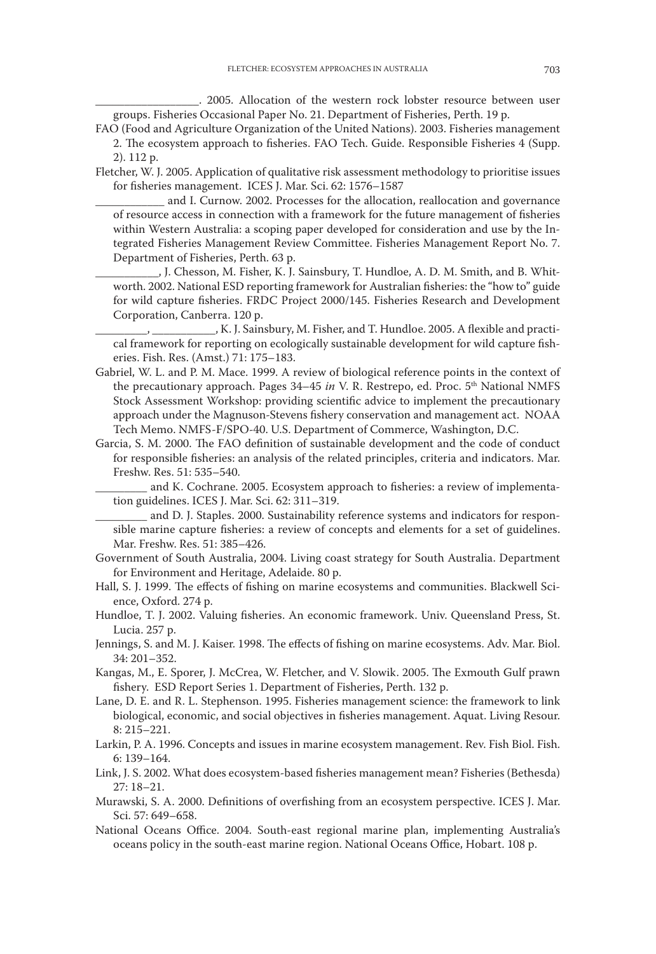\_\_\_\_\_\_\_\_\_\_\_\_\_\_\_\_\_\_. 2005. Allocation of the western rock lobster resource between user groups. Fisheries Occasional Paper No. 21. Department of Fisheries, Perth. 19 p.

- FAO (Food and Agriculture Organization of the United Nations). 2003. Fisheries management 2. The ecosystem approach to fisheries. FAO Tech. Guide. Responsible Fisheries 4 (Supp. 2). 112 p.
- Fletcher, W. J. 2005. Application of qualitative risk assessment methodology to prioritise issues for fisheries management. ICES J. Mar. Sci. 62: 1576–1587
	- and I. Curnow. 2002. Processes for the allocation, reallocation and governance of resource access in connection with a framework for the future management of fisheries within Western Australia: a scoping paper developed for consideration and use by the Integrated Fisheries Management Review Committee. Fisheries Management Report No. 7. Department of Fisheries, Perth. 63 p.
	- ., J. Chesson, M. Fisher, K. J. Sainsbury, T. Hundloe, A. D. M. Smith, and B. Whitworth. 2002. National ESD reporting framework for Australian fisheries: the "how to" guide for wild capture fisheries. FRDC Project 2000/145. Fisheries Research and Development Corporation, Canberra. 120 p.

\_\_\_\_\_\_\_\_\_, \_\_\_\_\_\_\_\_\_\_\_, K. J. Sainsbury, M. Fisher, and T. Hundloe. 2005. A flexible and practical framework for reporting on ecologically sustainable development for wild capture fisheries. Fish. Res. (Amst.) 71: 175–183.

- Gabriel, W. L. and P. M. Mace. 1999. A review of biological reference points in the context of the precautionary approach. Pages 34-45 *in* V. R. Restrepo, ed. Proc. 5<sup>th</sup> National NMFS Stock Assessment Workshop: providing scientific advice to implement the precautionary approach under the Magnuson-Stevens fishery conservation and management act. NOAA Tech Memo. NMFS-F/SPO-40. U.S. Department of Commerce, Washington, D.C.
- Garcia, S. M. 2000. The FAO definition of sustainable development and the code of conduct for responsible fisheries: an analysis of the related principles, criteria and indicators. Mar. Freshw. Res. 51: 535–540.

and K. Cochrane. 2005. Ecosystem approach to fisheries: a review of implementation guidelines. ICES J. Mar. Sci. 62: 311–319.

and D. J. Staples. 2000. Sustainability reference systems and indicators for responsible marine capture fisheries: a review of concepts and elements for a set of guidelines. Mar. Freshw. Res. 51: 385–426.

- Government of South Australia, 2004. Living coast strategy for South Australia. Department for Environment and Heritage, Adelaide. 80 p.
- Hall, S. J. 1999. The effects of fishing on marine ecosystems and communities. Blackwell Science, Oxford. 274 p.
- Hundloe, T. J. 2002. Valuing fisheries. An economic framework. Univ. Queensland Press, St. Lucia. 257 p.
- Jennings, S. and M. J. Kaiser. 1998. The effects of fishing on marine ecosystems. Adv. Mar. Biol. 34: 201–352.
- Kangas, M., E. Sporer, J. McCrea, W. Fletcher, and V. Slowik. 2005. The Exmouth Gulf prawn fishery. ESD Report Series 1. Department of Fisheries, Perth. 132 p.
- Lane, D. E. and R. L. Stephenson. 1995. Fisheries management science: the framework to link biological, economic, and social objectives in fisheries management. Aquat. Living Resour. 8: 215–221.
- Larkin, P. A. 1996. Concepts and issues in marine ecosystem management. Rev. Fish Biol. Fish. 6: 139–164.
- Link, J. S. 2002. What does ecosystem-based fisheries management mean? Fisheries (Bethesda) 27: 18–21.
- Murawski, S. A. 2000. Definitions of overfishing from an ecosystem perspective. ICES J. Mar. Sci. 57: 649–658.
- National Oceans Office. 2004. South-east regional marine plan, implementing Australia's oceans policy in the south-east marine region. National Oceans Office, Hobart. 108 p.